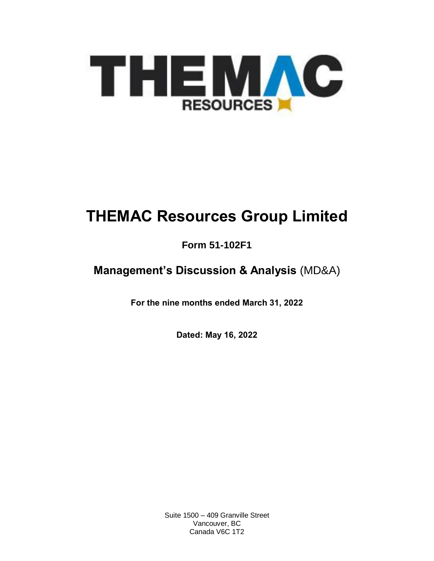

# **THEMAC Resources Group Limited**

# **Form 51-102F1**

# **Management's Discussion & Analysis** (MD&A)

**For the nine months ended March 31, 2022**

**Dated: May 16, 2022**

Suite 1500 – 409 Granville Street Vancouver, BC Canada V6C 1T2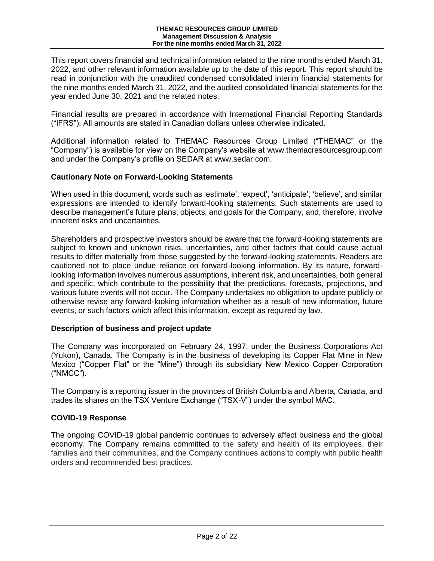This report covers financial and technical information related to the nine months ended March 31, 2022, and other relevant information available up to the date of this report. This report should be read in conjunction with the unaudited condensed consolidated interim financial statements for the nine months ended March 31, 2022, and the audited consolidated financial statements for the year ended June 30, 2021 and the related notes.

Financial results are prepared in accordance with International Financial Reporting Standards ("IFRS"). All amounts are stated in Canadian dollars unless otherwise indicated.

Additional information related to THEMAC Resources Group Limited ("THEMAC" or the "Company") is available for view on the Company's website at [www.themacresourcesgroup.com](http://www.themacresourcesgroup.com/) and under the Company's profile on SEDAR at [www.sedar.com.](http://www.sedar.com/)

#### **Cautionary Note on Forward-Looking Statements**

When used in this document, words such as 'estimate', 'expect', 'anticipate', 'believe', and similar expressions are intended to identify forward-looking statements. Such statements are used to describe management's future plans, objects, and goals for the Company, and, therefore, involve inherent risks and uncertainties.

Shareholders and prospective investors should be aware that the forward-looking statements are subject to known and unknown risks, uncertainties, and other factors that could cause actual results to differ materially from those suggested by the forward-looking statements. Readers are cautioned not to place undue reliance on forward-looking information. By its nature, forwardlooking information involves numerous assumptions, inherent risk, and uncertainties, both general and specific, which contribute to the possibility that the predictions, forecasts, projections, and various future events will not occur. The Company undertakes no obligation to update publicly or otherwise revise any forward-looking information whether as a result of new information, future events, or such factors which affect this information, except as required by law.

#### **Description of business and project update**

The Company was incorporated on February 24, 1997, under the Business Corporations Act (Yukon), Canada. The Company is in the business of developing its Copper Flat Mine in New Mexico ("Copper Flat" or the "Mine") through its subsidiary New Mexico Copper Corporation ("NMCC").

The Company is a reporting issuer in the provinces of British Columbia and Alberta, Canada, and trades its shares on the TSX Venture Exchange ("TSX-V") under the symbol MAC.

#### **COVID-19 Response**

The ongoing COVID-19 global pandemic continues to adversely affect business and the global economy. The Company remains committed to the safety and health of its employees, their families and their communities, and the Company continues actions to comply with public health orders and recommended best practices.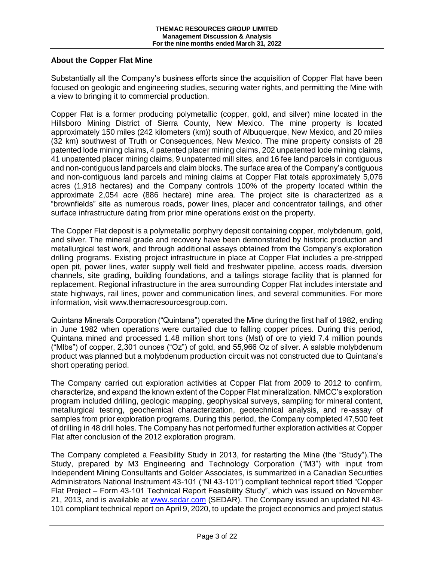# **About the Copper Flat Mine**

Substantially all the Company's business efforts since the acquisition of Copper Flat have been focused on geologic and engineering studies, securing water rights, and permitting the Mine with a view to bringing it to commercial production.

Copper Flat is a former producing polymetallic (copper, gold, and silver) mine located in the Hillsboro Mining District of Sierra County, New Mexico. The mine property is located approximately 150 miles (242 kilometers (km)) south of Albuquerque, New Mexico, and 20 miles (32 km) southwest of Truth or Consequences, New Mexico. The mine property consists of 28 patented lode mining claims, 4 patented placer mining claims, 202 unpatented lode mining claims, 41 unpatented placer mining claims, 9 unpatented mill sites, and 16 fee land parcels in contiguous and non-contiguous land parcels and claim blocks. The surface area of the Company's contiguous and non-contiguous land parcels and mining claims at Copper Flat totals approximately 5,076 acres (1,918 hectares) and the Company controls 100% of the property located within the approximate 2,054 acre (886 hectare) mine area. The project site is characterized as a "brownfields" site as numerous roads, power lines, placer and concentrator tailings, and other surface infrastructure dating from prior mine operations exist on the property.

The Copper Flat deposit is a polymetallic porphyry deposit containing copper, molybdenum, gold, and silver. The mineral grade and recovery have been demonstrated by historic production and metallurgical test work, and through additional assays obtained from the Company's exploration drilling programs. Existing project infrastructure in place at Copper Flat includes a pre-stripped open pit, power lines, water supply well field and freshwater pipeline, access roads, diversion channels, site grading, building foundations, and a tailings storage facility that is planned for replacement. Regional infrastructure in the area surrounding Copper Flat includes interstate and state highways, rail lines, power and communication lines, and several communities. For more information, visit [www.themacresourcesgroup.com.](http://www.themacresourcesgroup.com/)

Quintana Minerals Corporation ("Quintana") operated the Mine during the first half of 1982, ending in June 1982 when operations were curtailed due to falling copper prices. During this period, Quintana mined and processed 1.48 million short tons (Mst) of ore to yield 7.4 million pounds ("Mlbs") of copper, 2,301 ounces ("Oz") of gold, and 55,966 Oz of silver. A salable molybdenum product was planned but a molybdenum production circuit was not constructed due to Quintana's short operating period.

The Company carried out exploration activities at Copper Flat from 2009 to 2012 to confirm, characterize, and expand the known extent of the Copper Flat mineralization. NMCC's exploration program included drilling, geologic mapping, geophysical surveys, sampling for mineral content, metallurgical testing, geochemical characterization, geotechnical analysis, and re-assay of samples from prior exploration programs. During this period, the Company completed 47,500 feet of drilling in 48 drill holes. The Company has not performed further exploration activities at Copper Flat after conclusion of the 2012 exploration program.

The Company completed a Feasibility Study in 2013, for restarting the Mine (the "Study").The Study, prepared by M3 Engineering and Technology Corporation ("M3") with input from Independent Mining Consultants and Golder Associates, is summarized in a Canadian Securities Administrators National Instrument 43-101 ("NI 43-101") compliant technical report titled "Copper Flat Project – Form 43-101 Technical Report Feasibility Study", which was issued on November 21, 2013, and is available at [www.sedar.com](http://www.sedar.com/) (SEDAR). The Company issued an updated NI 43- 101 compliant technical report on April 9, 2020, to update the project economics and project status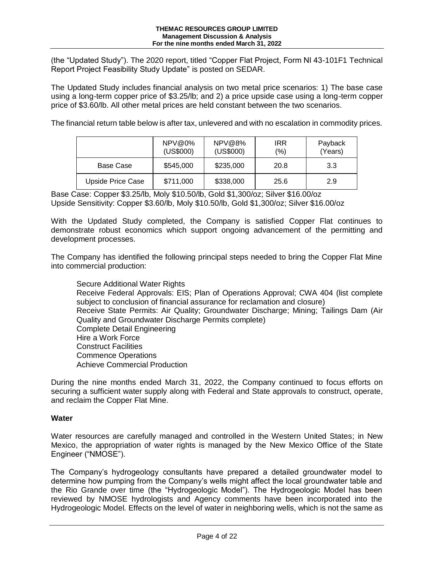(the "Updated Study"). The 2020 report, titled "Copper Flat Project, Form NI 43-101F1 Technical Report Project Feasibility Study Update" is posted on SEDAR.

The Updated Study includes financial analysis on two metal price scenarios: 1) The base case using a long-term copper price of \$3.25/lb; and 2) a price upside case using a long-term copper price of \$3.60/lb. All other metal prices are held constant between the two scenarios.

The financial return table below is after tax, unlevered and with no escalation in commodity prices.

|                          | $NPV@0\%$<br>(US\$000) | NPV@8%<br>(US\$000) | <b>IRR</b><br>$(\% )$ | Payback<br>(Years) |
|--------------------------|------------------------|---------------------|-----------------------|--------------------|
| Base Case                | \$545,000              | \$235,000           | 20.8                  | 3.3                |
| <b>Upside Price Case</b> | \$711,000              | \$338,000           | 25.6                  | 2.9                |

Base Case: Copper \$3.25/lb, Moly \$10.50/lb, Gold \$1,300/oz; Silver \$16.00/oz Upside Sensitivity: Copper \$3.60/lb, Moly \$10.50/lb, Gold \$1,300/oz; Silver \$16.00/oz

With the Updated Study completed, the Company is satisfied Copper Flat continues to demonstrate robust economics which support ongoing advancement of the permitting and development processes.

The Company has identified the following principal steps needed to bring the Copper Flat Mine into commercial production:

Secure Additional Water Rights Receive Federal Approvals: EIS; Plan of Operations Approval; CWA 404 (list complete subject to conclusion of financial assurance for reclamation and closure) Receive State Permits: Air Quality; Groundwater Discharge; Mining; Tailings Dam (Air Quality and Groundwater Discharge Permits complete) Complete Detail Engineering Hire a Work Force Construct Facilities Commence Operations Achieve Commercial Production

During the nine months ended March 31, 2022, the Company continued to focus efforts on securing a sufficient water supply along with Federal and State approvals to construct, operate, and reclaim the Copper Flat Mine.

#### **Water**

Water resources are carefully managed and controlled in the Western United States; in New Mexico, the appropriation of water rights is managed by the New Mexico Office of the State Engineer ("NMOSE").

The Company's hydrogeology consultants have prepared a detailed groundwater model to determine how pumping from the Company's wells might affect the local groundwater table and the Rio Grande over time (the "Hydrogeologic Model"). The Hydrogeologic Model has been reviewed by NMOSE hydrologists and Agency comments have been incorporated into the Hydrogeologic Model. Effects on the level of water in neighboring wells, which is not the same as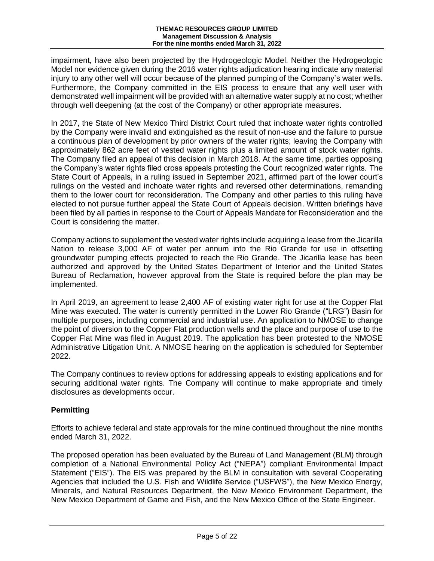impairment, have also been projected by the Hydrogeologic Model. Neither the Hydrogeologic Model nor evidence given during the 2016 water rights adjudication hearing indicate any material injury to any other well will occur because of the planned pumping of the Company's water wells. Furthermore, the Company committed in the EIS process to ensure that any well user with demonstrated well impairment will be provided with an alternative water supply at no cost; whether through well deepening (at the cost of the Company) or other appropriate measures.

In 2017, the State of New Mexico Third District Court ruled that inchoate water rights controlled by the Company were invalid and extinguished as the result of non-use and the failure to pursue a continuous plan of development by prior owners of the water rights; leaving the Company with approximately 862 acre feet of vested water rights plus a limited amount of stock water rights. The Company filed an appeal of this decision in March 2018. At the same time, parties opposing the Company's water rights filed cross appeals protesting the Court recognized water rights. The State Court of Appeals, in a ruling issued in September 2021, affirmed part of the lower court's rulings on the vested and inchoate water rights and reversed other determinations, remanding them to the lower court for reconsideration. The Company and other parties to this ruling have elected to not pursue further appeal the State Court of Appeals decision. Written briefings have been filed by all parties in response to the Court of Appeals Mandate for Reconsideration and the Court is considering the matter.

Company actions to supplement the vested water rights include acquiring a lease from the Jicarilla Nation to release 3,000 AF of water per annum into the Rio Grande for use in offsetting groundwater pumping effects projected to reach the Rio Grande. The Jicarilla lease has been authorized and approved by the United States Department of Interior and the United States Bureau of Reclamation, however approval from the State is required before the plan may be implemented.

In April 2019, an agreement to lease 2,400 AF of existing water right for use at the Copper Flat Mine was executed. The water is currently permitted in the Lower Rio Grande ("LRG") Basin for multiple purposes, including commercial and industrial use. An application to NMOSE to change the point of diversion to the Copper Flat production wells and the place and purpose of use to the Copper Flat Mine was filed in August 2019. The application has been protested to the NMOSE Administrative Litigation Unit. A NMOSE hearing on the application is scheduled for September 2022.

The Company continues to review options for addressing appeals to existing applications and for securing additional water rights. The Company will continue to make appropriate and timely disclosures as developments occur.

# **Permitting**

Efforts to achieve federal and state approvals for the mine continued throughout the nine months ended March 31, 2022.

The proposed operation has been evaluated by the Bureau of Land Management (BLM) through completion of a National Environmental Policy Act ("NEPA") compliant Environmental Impact Statement ("EIS"). The EIS was prepared by the BLM in consultation with several Cooperating Agencies that included the U.S. Fish and Wildlife Service ("USFWS"), the New Mexico Energy, Minerals, and Natural Resources Department, the New Mexico Environment Department, the New Mexico Department of Game and Fish, and the New Mexico Office of the State Engineer.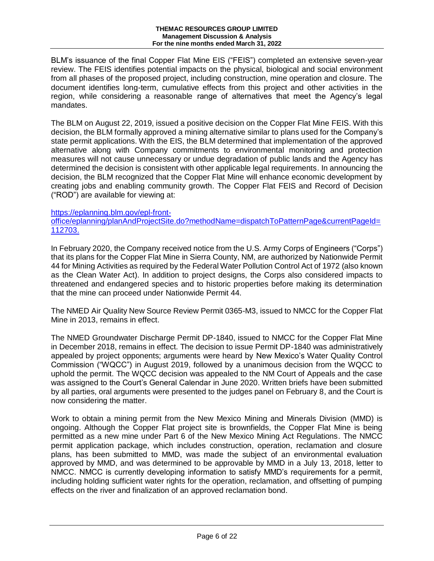BLM's issuance of the final Copper Flat Mine EIS ("FEIS") completed an extensive seven-year review. The FEIS identifies potential impacts on the physical, biological and social environment from all phases of the proposed project, including construction, mine operation and closure. The document identifies long-term, cumulative effects from this project and other activities in the region, while considering a reasonable range of alternatives that meet the Agency's legal mandates.

The BLM on August 22, 2019, issued a positive decision on the Copper Flat Mine FEIS. With this decision, the BLM formally approved a mining alternative similar to plans used for the Company's state permit applications. With the EIS, the BLM determined that implementation of the approved alternative along with Company commitments to environmental monitoring and protection measures will not cause unnecessary or undue degradation of public lands and the Agency has determined the decision is consistent with other applicable legal requirements. In announcing the decision, the BLM recognized that the Copper Flat Mine will enhance economic development by creating jobs and enabling community growth. The Copper Flat FEIS and Record of Decision ("ROD") are available for viewing at:

#### [https://eplanning.blm.gov/epl-front-](https://eplanning.blm.gov/epl-front-office/eplanning/planAndProjectSite.do?methodName=dispatchToPatternPage¤tPageId=112703)

[office/eplanning/planAndProjectSite.do?methodName=dispatchToPatternPage&currentPageId=](https://eplanning.blm.gov/epl-front-office/eplanning/planAndProjectSite.do?methodName=dispatchToPatternPage¤tPageId=112703) [112703.](https://eplanning.blm.gov/epl-front-office/eplanning/planAndProjectSite.do?methodName=dispatchToPatternPage¤tPageId=112703)

In February 2020, the Company received notice from the U.S. Army Corps of Engineers ("Corps") that its plans for the Copper Flat Mine in Sierra County, NM, are authorized by Nationwide Permit 44 for Mining Activities as required by the Federal Water Pollution Control Act of 1972 (also known as the Clean Water Act). In addition to project designs, the Corps also considered impacts to threatened and endangered species and to historic properties before making its determination that the mine can proceed under Nationwide Permit 44.

The NMED Air Quality New Source Review Permit 0365-M3, issued to NMCC for the Copper Flat Mine in 2013, remains in effect.

The NMED Groundwater Discharge Permit DP-1840, issued to NMCC for the Copper Flat Mine in December 2018, remains in effect. The decision to issue Permit DP-1840 was administratively appealed by project opponents; arguments were heard by New Mexico's Water Quality Control Commission ("WQCC") in August 2019, followed by a unanimous decision from the WQCC to uphold the permit. The WQCC decision was appealed to the NM Court of Appeals and the case was assigned to the Court's General Calendar in June 2020. Written briefs have been submitted by all parties, oral arguments were presented to the judges panel on February 8, and the Court is now considering the matter.

Work to obtain a mining permit from the New Mexico Mining and Minerals Division (MMD) is ongoing. Although the Copper Flat project site is brownfields, the Copper Flat Mine is being permitted as a new mine under Part 6 of the New Mexico Mining Act Regulations. The NMCC permit application package, which includes construction, operation, reclamation and closure plans, has been submitted to MMD, was made the subject of an environmental evaluation approved by MMD, and was determined to be approvable by MMD in a July 13, 2018, letter to NMCC. NMCC is currently developing information to satisfy MMD's requirements for a permit, including holding sufficient water rights for the operation, reclamation, and offsetting of pumping effects on the river and finalization of an approved reclamation bond.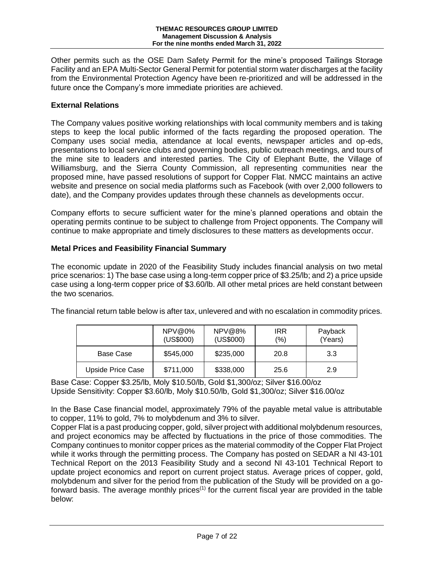Other permits such as the OSE Dam Safety Permit for the mine's proposed Tailings Storage Facility and an EPA Multi-Sector General Permit for potential storm water discharges at the facility from the Environmental Protection Agency have been re-prioritized and will be addressed in the future once the Company's more immediate priorities are achieved.

# **External Relations**

The Company values positive working relationships with local community members and is taking steps to keep the local public informed of the facts regarding the proposed operation. The Company uses social media, attendance at local events, newspaper articles and op-eds, presentations to local service clubs and governing bodies, public outreach meetings, and tours of the mine site to leaders and interested parties. The City of Elephant Butte, the Village of Williamsburg, and the Sierra County Commission, all representing communities near the proposed mine, have passed resolutions of support for Copper Flat. NMCC maintains an active website and presence on social media platforms such as Facebook (with over 2,000 followers to date), and the Company provides updates through these channels as developments occur.

Company efforts to secure sufficient water for the mine's planned operations and obtain the operating permits continue to be subject to challenge from Project opponents. The Company will continue to make appropriate and timely disclosures to these matters as developments occur.

#### **Metal Prices and Feasibility Financial Summary**

The economic update in 2020 of the Feasibility Study includes financial analysis on two metal price scenarios: 1) The base case using a long-term copper price of \$3.25/lb; and 2) a price upside case using a long-term copper price of \$3.60/lb. All other metal prices are held constant between the two scenarios.

| The financial return table below is after tax, unlevered and with no escalation in commodity prices. |  |
|------------------------------------------------------------------------------------------------------|--|
|------------------------------------------------------------------------------------------------------|--|

|                          | NPV@0%<br>(US\$000) | NPV@8%<br>(US\$000) | <b>IRR</b><br>$(\% )$ | Payback<br>(Years) |
|--------------------------|---------------------|---------------------|-----------------------|--------------------|
| Base Case                | \$545,000           | \$235,000           | 20.8                  | 3.3                |
| <b>Upside Price Case</b> | \$711,000           | \$338,000           | 25.6                  | 2.9                |

Base Case: Copper \$3.25/lb, Moly \$10.50/lb, Gold \$1,300/oz; Silver \$16.00/oz Upside Sensitivity: Copper \$3.60/lb, Moly \$10.50/lb, Gold \$1,300/oz; Silver \$16.00/oz

In the Base Case financial model, approximately 79% of the payable metal value is attributable to copper, 11% to gold, 7% to molybdenum and 3% to silver.

Copper Flat is a past producing copper, gold, silver project with additional molybdenum resources, and project economics may be affected by fluctuations in the price of those commodities. The Company continues to monitor copper prices as the material commodity of the Copper Flat Project while it works through the permitting process. The Company has posted on SEDAR a NI 43-101 Technical Report on the 2013 Feasibility Study and a second NI 43-101 Technical Report to update project economics and report on current project status. Average prices of copper, gold, molybdenum and silver for the period from the publication of the Study will be provided on a goforward basis. The average monthly prices<sup> $(1)$ </sup> for the current fiscal year are provided in the table below: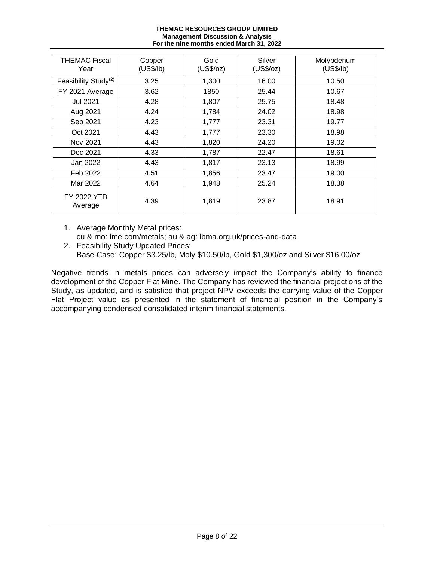#### **THEMAC RESOURCES GROUP LIMITED Management Discussion & Analysis For the nine months ended March 31, 2022**

| THEMAC Fiscal<br>Year            | Copper<br>(US\$/lb) | Gold<br>(US\$/oz) | Silver<br>(US\$/oz) | Molybdenum<br>(US\$/lb) |
|----------------------------------|---------------------|-------------------|---------------------|-------------------------|
| Feasibility Study <sup>(2)</sup> | 3.25                | 1,300             | 16.00               | 10.50                   |
| FY 2021 Average                  | 3.62                | 1850              | 25.44               | 10.67                   |
| Jul 2021                         | 4.28                | 1,807             | 25.75               | 18.48                   |
| Aug 2021                         | 4.24                | 1,784             | 24.02               | 18.98                   |
| Sep 2021                         | 4.23                | 1,777             | 23.31               | 19.77                   |
| Oct 2021                         | 4.43                | 1,777             | 23.30               | 18.98                   |
| Nov 2021                         | 4.43                | 1,820             | 24.20               | 19.02                   |
| Dec 2021                         | 4.33                | 1,787             | 22.47               | 18.61                   |
| Jan 2022                         | 4.43                | 1,817             | 23.13               | 18.99                   |
| Feb 2022                         | 4.51                | 1,856             | 23.47               | 19.00                   |
| Mar 2022                         | 4.64                | 1,948             | 25.24               | 18.38                   |
| <b>FY 2022 YTD</b><br>Average    | 4.39                | 1,819             | 23.87               | 18.91                   |

1. Average Monthly Metal prices: cu & mo: lme.com/metals; au & ag: lbma.org.uk/prices-and-data

2. Feasibility Study Updated Prices: Base Case: Copper \$3.25/lb, Moly \$10.50/lb, Gold \$1,300/oz and Silver \$16.00/oz

Negative trends in metals prices can adversely impact the Company's ability to finance development of the Copper Flat Mine. The Company has reviewed the financial projections of the Study, as updated, and is satisfied that project NPV exceeds the carrying value of the Copper Flat Project value as presented in the statement of financial position in the Company's accompanying condensed consolidated interim financial statements.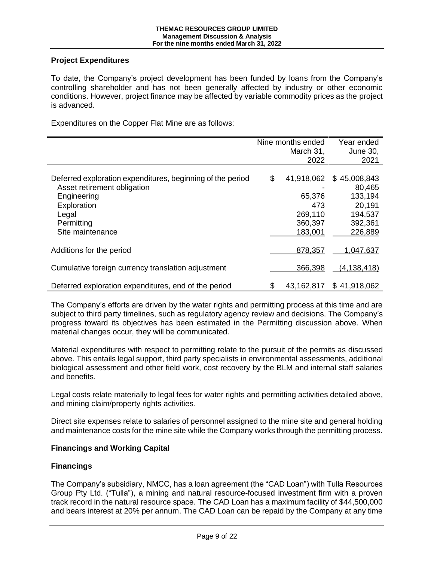# **Project Expenditures**

To date, the Company's project development has been funded by loans from the Company's controlling shareholder and has not been generally affected by industry or other economic conditions. However, project finance may be affected by variable commodity prices as the project is advanced.

Expenditures on the Copper Flat Mine are as follows:

|                                                            | Nine months ended<br>March 31, | Year ended<br>June 30, |
|------------------------------------------------------------|--------------------------------|------------------------|
|                                                            | 2022                           | 2021                   |
|                                                            |                                |                        |
| Deferred exploration expenditures, beginning of the period | \$<br>41,918,062               | \$45,008,843           |
| Asset retirement obligation                                |                                | 80,465                 |
| Engineering                                                | 65,376                         | 133,194                |
| Exploration                                                | 473                            | 20,191                 |
| Legal                                                      | 269,110                        | 194,537                |
| Permitting                                                 | 360,397                        | 392,361                |
| Site maintenance                                           | 183,001                        | 226,889                |
|                                                            |                                |                        |
| Additions for the period                                   | 878,357                        | 1,047,637              |
| Cumulative foreign currency translation adjustment         | 366,398                        | (4, 138, 418)          |
| Deferred exploration expenditures, end of the period       | \$<br>43,162,817               | \$41,918,062           |

The Company's efforts are driven by the water rights and permitting process at this time and are subject to third party timelines, such as regulatory agency review and decisions. The Company's progress toward its objectives has been estimated in the Permitting discussion above. When material changes occur, they will be communicated.

Material expenditures with respect to permitting relate to the pursuit of the permits as discussed above. This entails legal support, third party specialists in environmental assessments, additional biological assessment and other field work, cost recovery by the BLM and internal staff salaries and benefits.

Legal costs relate materially to legal fees for water rights and permitting activities detailed above, and mining claim/property rights activities.

Direct site expenses relate to salaries of personnel assigned to the mine site and general holding and maintenance costs for the mine site while the Company works through the permitting process.

#### **Financings and Working Capital**

# **Financings**

The Company's subsidiary, NMCC, has a loan agreement (the "CAD Loan") with Tulla Resources Group Pty Ltd. ("Tulla"), a mining and natural resource-focused investment firm with a proven track record in the natural resource space. The CAD Loan has a maximum facility of \$44,500,000 and bears interest at 20% per annum. The CAD Loan can be repaid by the Company at any time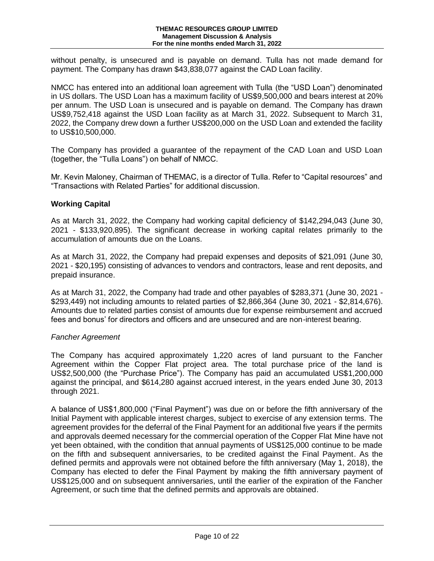without penalty, is unsecured and is payable on demand. Tulla has not made demand for payment. The Company has drawn \$43,838,077 against the CAD Loan facility.

NMCC has entered into an additional loan agreement with Tulla (the "USD Loan") denominated in US dollars. The USD Loan has a maximum facility of US\$9,500,000 and bears interest at 20% per annum. The USD Loan is unsecured and is payable on demand. The Company has drawn US\$9,752,418 against the USD Loan facility as at March 31, 2022. Subsequent to March 31, 2022, the Company drew down a further US\$200,000 on the USD Loan and extended the facility to US\$10,500,000.

The Company has provided a guarantee of the repayment of the CAD Loan and USD Loan (together, the "Tulla Loans") on behalf of NMCC.

Mr. Kevin Maloney, Chairman of THEMAC, is a director of Tulla. Refer to "Capital resources" and "Transactions with Related Parties" for additional discussion.

#### **Working Capital**

As at March 31, 2022, the Company had working capital deficiency of \$142,294,043 (June 30, 2021 - \$133,920,895). The significant decrease in working capital relates primarily to the accumulation of amounts due on the Loans.

As at March 31, 2022, the Company had prepaid expenses and deposits of \$21,091 (June 30, 2021 - \$20,195) consisting of advances to vendors and contractors, lease and rent deposits, and prepaid insurance.

As at March 31, 2022, the Company had trade and other payables of \$283,371 (June 30, 2021 - \$293,449) not including amounts to related parties of \$2,866,364 (June 30, 2021 - \$2,814,676). Amounts due to related parties consist of amounts due for expense reimbursement and accrued fees and bonus' for directors and officers and are unsecured and are non-interest bearing.

#### *Fancher Agreement*

The Company has acquired approximately 1,220 acres of land pursuant to the Fancher Agreement within the Copper Flat project area. The total purchase price of the land is US\$2,500,000 (the "Purchase Price"). The Company has paid an accumulated US\$1,200,000 against the principal, and \$614,280 against accrued interest, in the years ended June 30, 2013 through 2021.

A balance of US\$1,800,000 ("Final Payment") was due on or before the fifth anniversary of the Initial Payment with applicable interest charges, subject to exercise of any extension terms. The agreement provides for the deferral of the Final Payment for an additional five years if the permits and approvals deemed necessary for the commercial operation of the Copper Flat Mine have not yet been obtained, with the condition that annual payments of US\$125,000 continue to be made on the fifth and subsequent anniversaries, to be credited against the Final Payment. As the defined permits and approvals were not obtained before the fifth anniversary (May 1, 2018), the Company has elected to defer the Final Payment by making the fifth anniversary payment of US\$125,000 and on subsequent anniversaries, until the earlier of the expiration of the Fancher Agreement, or such time that the defined permits and approvals are obtained.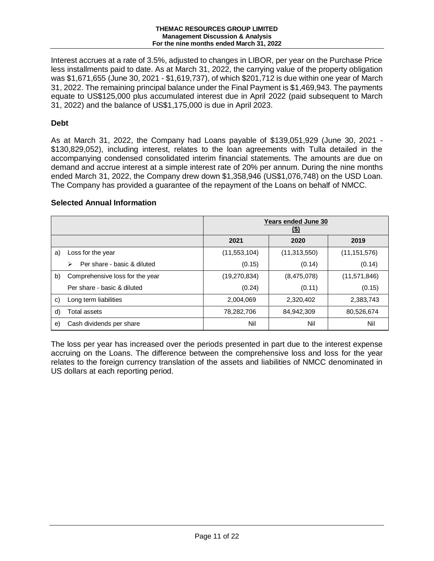Interest accrues at a rate of 3.5%, adjusted to changes in LIBOR, per year on the Purchase Price less installments paid to date. As at March 31, 2022, the carrying value of the property obligation was \$1,671,655 (June 30, 2021 - \$1,619,737), of which \$201,712 is due within one year of March 31, 2022. The remaining principal balance under the Final Payment is \$1,469,943. The payments equate to US\$125,000 plus accumulated interest due in April 2022 (paid subsequent to March 31, 2022) and the balance of US\$1,175,000 is due in April 2023.

# **Debt**

As at March 31, 2022, the Company had Loans payable of \$139,051,929 (June 30, 2021 - \$130,829,052), including interest, relates to the loan agreements with Tulla detailed in the accompanying condensed consolidated interim financial statements. The amounts are due on demand and accrue interest at a simple interest rate of 20% per annum. During the nine months ended March 31, 2022, the Company drew down \$1,358,946 (US\$1,076,748) on the USD Loan. The Company has provided a guarantee of the repayment of the Loans on behalf of NMCC.

# **Selected Annual Information**

|    |                                  | <b>Years ended June 30</b><br><u>(\$)</u> |                |                |  |
|----|----------------------------------|-------------------------------------------|----------------|----------------|--|
|    |                                  | 2021                                      | 2020           | 2019           |  |
| a) | Loss for the year                | (11, 553, 104)                            | (11, 313, 550) | (11, 151, 576) |  |
|    | Per share - basic & diluted<br>⋗ | (0.15)                                    | (0.14)         | (0.14)         |  |
| b) | Comprehensive loss for the year  | (19,270,834)                              | (8,475,078)    | (11, 571, 846) |  |
|    | Per share - basic & diluted      | (0.24)                                    | (0.11)         | (0.15)         |  |
| C) | Long term liabilities            | 2,004,069                                 | 2,320,402      | 2,383,743      |  |
| d) | Total assets                     | 78,282,706                                | 84,942,309     | 80,526,674     |  |
| e) | Cash dividends per share         | Nil                                       | Nil            | Nil            |  |

The loss per year has increased over the periods presented in part due to the interest expense accruing on the Loans. The difference between the comprehensive loss and loss for the year relates to the foreign currency translation of the assets and liabilities of NMCC denominated in US dollars at each reporting period.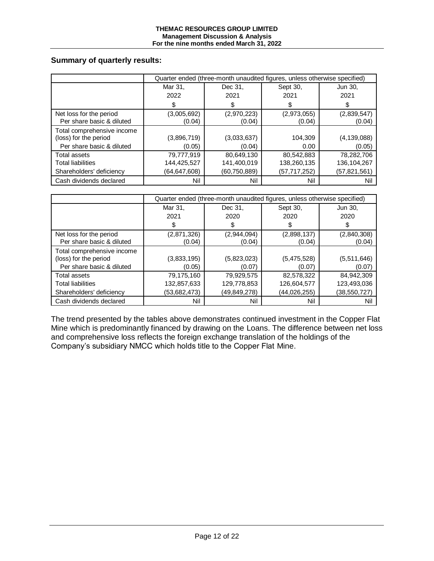# **Summary of quarterly results:**

|                                                                                  | Quarter ended (three-month unaudited figures, unless otherwise specified) |                                             |                                             |                                             |  |
|----------------------------------------------------------------------------------|---------------------------------------------------------------------------|---------------------------------------------|---------------------------------------------|---------------------------------------------|--|
|                                                                                  | Mar 31,                                                                   | Dec 31,                                     | Sept 30,                                    | Jun 30,                                     |  |
|                                                                                  | 2022                                                                      | 2021                                        | 2021                                        | 2021                                        |  |
|                                                                                  | \$                                                                        |                                             |                                             | S                                           |  |
| Net loss for the period<br>Per share basic & diluted                             | (3,005,692)<br>(0.04)                                                     | (2,970,223)<br>(0.04)                       | (2,973,055)<br>(0.04)                       | (2,839,547)<br>(0.04)                       |  |
| Total comprehensive income<br>(loss) for the period<br>Per share basic & diluted | (3,896,719)<br>(0.05)                                                     | (3,033,637)<br>(0.04)                       | 104,309<br>0.00                             | (4, 139, 088)<br>(0.05)                     |  |
| Total assets<br><b>Total liabilities</b><br>Shareholders' deficiency             | 79,777,919<br>144,425,527<br>(64,647,608)                                 | 80,649,130<br>141,400,019<br>(60, 750, 889) | 80,542,883<br>138,260,135<br>(57, 717, 252) | 78,282,706<br>136, 104, 267<br>(57,821,561) |  |
| Cash dividends declared                                                          | Nil                                                                       | Nil                                         | Nil                                         | Nil                                         |  |

|                                                                                  | Quarter ended (three-month unaudited figures, unless otherwise specified) |                                             |                                           |                                           |  |
|----------------------------------------------------------------------------------|---------------------------------------------------------------------------|---------------------------------------------|-------------------------------------------|-------------------------------------------|--|
|                                                                                  | Mar 31,                                                                   | Dec 31,                                     | Sept 30,                                  | Jun 30,                                   |  |
|                                                                                  | 2021                                                                      | 2020                                        | 2020                                      | 2020                                      |  |
|                                                                                  | \$                                                                        | S                                           |                                           | \$                                        |  |
| Net loss for the period<br>Per share basic & diluted                             | (2,871,326)<br>(0.04)                                                     | (2,944,094)<br>(0.04)                       | (2,898,137)<br>(0.04)                     | (2,840,308)<br>(0.04)                     |  |
| Total comprehensive income<br>(loss) for the period<br>Per share basic & diluted | (3,833,195)<br>(0.05)                                                     | (5,823,023)<br>(0.07)                       | (5,475,528)<br>(0.07)                     | (5,511,646)<br>(0.07)                     |  |
| Total assets<br><b>Total liabilities</b><br>Shareholders' deficiency             | 79,175,160<br>132,857,633<br>(53,682,473)                                 | 79,929,575<br>129,778,853<br>(49, 849, 278) | 82,578,322<br>126,604,577<br>(44,026,255) | 84,942,309<br>123,493,036<br>(38,550,727) |  |
| Cash dividends declared                                                          | Nil                                                                       | Nil                                         | Nil                                       | Nil                                       |  |

The trend presented by the tables above demonstrates continued investment in the Copper Flat Mine which is predominantly financed by drawing on the Loans. The difference between net loss and comprehensive loss reflects the foreign exchange translation of the holdings of the Company's subsidiary NMCC which holds title to the Copper Flat Mine.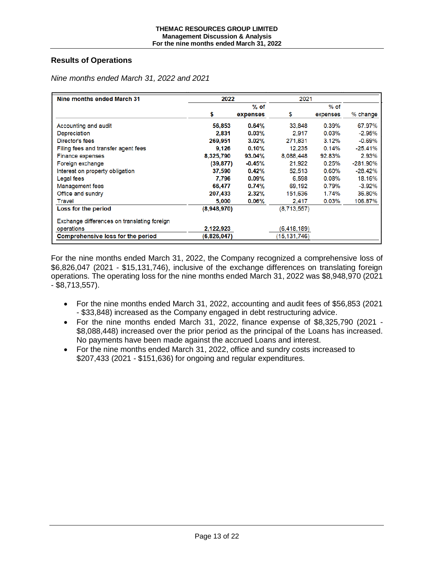# **Results of Operations**

| Nine months ended March 31                  | 2022        |           | 2021         |          |             |
|---------------------------------------------|-------------|-----------|--------------|----------|-------------|
|                                             |             | $%$ of    |              | $%$ of   |             |
|                                             | \$          | expenses  | S            | expenses | % change    |
| Accounting and audit                        | 56,853      | 0.64%     | 33,848       | 0.39%    | 67.97%      |
| Depreciation                                | 2.831       | $0.03\%$  | 2.917        | $0.03\%$ | $-2.95%$    |
| Director's fees                             | 269.951     | $3.02\%$  | 271.831      | 3.12%    | $-0.69%$    |
| Filing fees and transfer agent fees         | 9,126       | $0.10\%$  | 12.235       | 0.14%    | $-25.41%$   |
| <b>Finance expenses</b>                     | 8,325,790   | 93.04%    | 8,088,448    | 92.83%   | 2.93%       |
| Foreign exchange                            | (39, 877)   | $-0.45\%$ | 21.922       | 0.25%    | $-281.90\%$ |
| Interest on property obligation             | 37,590      | $0.42\%$  | 52,513       | 0.60%    | $-28.42%$   |
| Legal fees                                  | 7.796       | $0.09\%$  | 6.598        | $0.08\%$ | 18.16%      |
| Management fees                             | 66,477      | 0.74%     | 69.192       | 0.79%    | $-3.92%$    |
| Office and sundry                           | 207,433     | 2.32%     | 151,636      | 1.74%    | 36.80%      |
| <b>Travel</b>                               | 5,000       | $0.06\%$  | 2,417        | 0.03%    | 106.87%     |
| Loss for the period                         | (8,948,970) |           | (8,713,557)  |          |             |
| Exchange differences on translating foreign |             |           |              |          |             |
| operations                                  | 2,122,923   |           | (6,418,189)  |          |             |
| <b>Comprehensive loss for the period</b>    | (6,826,047) |           | (15,131,746) |          |             |

*Nine months ended March 31, 2022 and 2021*

For the nine months ended March 31, 2022, the Company recognized a comprehensive loss of \$6,826,047 (2021 - \$15,131,746), inclusive of the exchange differences on translating foreign operations. The operating loss for the nine months ended March 31, 2022 was \$8,948,970 (2021 - \$8,713,557).

- For the nine months ended March 31, 2022, accounting and audit fees of \$56,853 (2021 - \$33,848) increased as the Company engaged in debt restructuring advice.
- For the nine months ended March 31, 2022, finance expense of \$8,325,790 (2021 \$8,088,448) increased over the prior period as the principal of the Loans has increased. No payments have been made against the accrued Loans and interest.
- For the nine months ended March 31, 2022, office and sundry costs increased to \$207,433 (2021 - \$151,636) for ongoing and regular expenditures.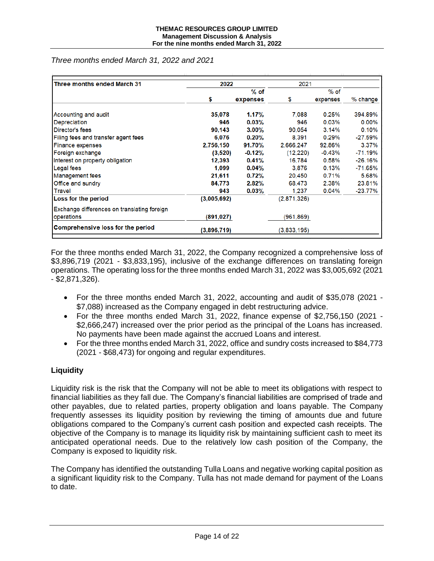*Three months ended March 31, 2022 and 2021*

| Three months ended March 31                 | 2022        |          | 2021        |          |            |
|---------------------------------------------|-------------|----------|-------------|----------|------------|
|                                             |             | $%$ of   |             | $%$ of   |            |
|                                             | \$          | expenses | \$          | expenses | % change   |
| Accounting and audit                        | 35,078      | 1.17%    | 7.088       | 0.25%    | 394.89%    |
| Depreciation                                | 946         | 0.03%    | 946         | 0.03%    | $0.00\%$   |
| Director's fees                             | 90,143      | $3.00\%$ | 90.054      | 3.14%    | 0.10%      |
| Filing fees and transfer agent fees         | 6,076       | 0.20%    | 8.391       | 0.29%    | $-27.59\%$ |
| <b>Finance expenses</b>                     | 2,756,150   | 91.70%   | 2,666,247   | 92.86%   | 3.37%      |
| Foreign exchange                            | (3,520)     | $-0.12%$ | (12, 220)   | $-0.43%$ | $-71.19%$  |
| Interest on property obligation             | 12,393      | 0.41%    | 16,784      | 0.58%    | $-26.16%$  |
| <b>Legal</b> fees                           | 1,099       | $0.04\%$ | 3.876       | 0.13%    | $-71.65%$  |
| <b>Management fees</b>                      | 21,611      | 0.72%    | 20.450      | 0.71%    | 5.68%      |
| Office and sundry                           | 84,773      | 2.82%    | 68,473      | 2.38%    | 23.81%     |
| <b>Travel</b>                               | 943         | 0.03%    | 1.237       | 0.04%    | $-23.77\%$ |
| <b>Loss for the period</b>                  | (3,005,692) |          | (2,871,326) |          |            |
| Exchange differences on translating foreign |             |          |             |          |            |
| operations                                  | (891, 027)  |          | (961,869)   |          |            |
| <b>Comprehensive loss for the period</b>    | (3,896,719) |          | (3,833,195) |          |            |

For the three months ended March 31, 2022, the Company recognized a comprehensive loss of \$3,896,719 (2021 - \$3,833,195), inclusive of the exchange differences on translating foreign operations. The operating loss for the three months ended March 31, 2022 was \$3,005,692 (2021 - \$2,871,326).

- For the three months ended March 31, 2022, accounting and audit of \$35,078 (2021 \$7,088) increased as the Company engaged in debt restructuring advice.
- For the three months ended March 31, 2022, finance expense of \$2,756,150 (2021 \$2,666,247) increased over the prior period as the principal of the Loans has increased. No payments have been made against the accrued Loans and interest.
- For the three months ended March 31, 2022, office and sundry costs increased to \$84,773 (2021 - \$68,473) for ongoing and regular expenditures.

# **Liquidity**

Liquidity risk is the risk that the Company will not be able to meet its obligations with respect to financial liabilities as they fall due. The Company's financial liabilities are comprised of trade and other payables, due to related parties, property obligation and loans payable. The Company frequently assesses its liquidity position by reviewing the timing of amounts due and future obligations compared to the Company's current cash position and expected cash receipts. The objective of the Company is to manage its liquidity risk by maintaining sufficient cash to meet its anticipated operational needs. Due to the relatively low cash position of the Company, the Company is exposed to liquidity risk.

The Company has identified the outstanding Tulla Loans and negative working capital position as a significant liquidity risk to the Company. Tulla has not made demand for payment of the Loans to date.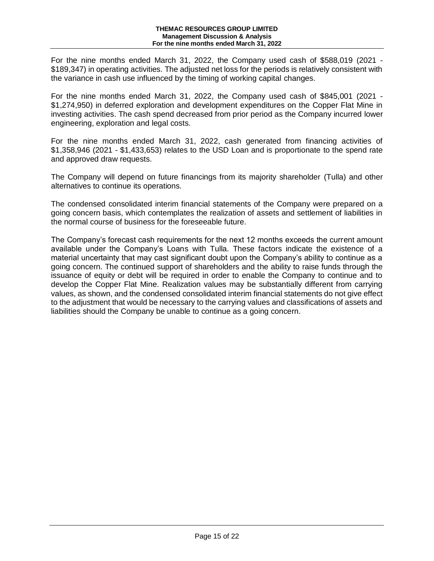For the nine months ended March 31, 2022, the Company used cash of \$588,019 (2021 - \$189,347) in operating activities. The adjusted net loss for the periods is relatively consistent with the variance in cash use influenced by the timing of working capital changes.

For the nine months ended March 31, 2022, the Company used cash of \$845,001 (2021 - \$1,274,950) in deferred exploration and development expenditures on the Copper Flat Mine in investing activities. The cash spend decreased from prior period as the Company incurred lower engineering, exploration and legal costs.

For the nine months ended March 31, 2022, cash generated from financing activities of \$1,358,946 (2021 - \$1,433,653) relates to the USD Loan and is proportionate to the spend rate and approved draw requests.

The Company will depend on future financings from its majority shareholder (Tulla) and other alternatives to continue its operations.

The condensed consolidated interim financial statements of the Company were prepared on a going concern basis, which contemplates the realization of assets and settlement of liabilities in the normal course of business for the foreseeable future.

The Company's forecast cash requirements for the next 12 months exceeds the current amount available under the Company's Loans with Tulla. These factors indicate the existence of a material uncertainty that may cast significant doubt upon the Company's ability to continue as a going concern. The continued support of shareholders and the ability to raise funds through the issuance of equity or debt will be required in order to enable the Company to continue and to develop the Copper Flat Mine. Realization values may be substantially different from carrying values, as shown, and the condensed consolidated interim financial statements do not give effect to the adjustment that would be necessary to the carrying values and classifications of assets and liabilities should the Company be unable to continue as a going concern.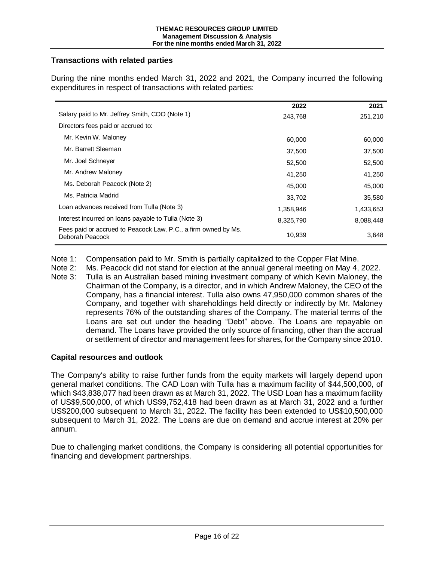# **Transactions with related parties**

| During the nine months ended March 31, 2022 and 2021, the Company incurred the following |  |  |  |
|------------------------------------------------------------------------------------------|--|--|--|
| expenditures in respect of transactions with related parties:                            |  |  |  |

|                                                                                   | 2022      | 2021      |
|-----------------------------------------------------------------------------------|-----------|-----------|
| Salary paid to Mr. Jeffrey Smith, COO (Note 1)                                    | 243,768   | 251,210   |
| Directors fees paid or accrued to:                                                |           |           |
| Mr. Kevin W. Maloney                                                              | 60,000    | 60,000    |
| Mr. Barrett Sleeman                                                               | 37,500    | 37,500    |
| Mr. Joel Schnever                                                                 | 52,500    | 52,500    |
| Mr. Andrew Maloney                                                                | 41,250    | 41,250    |
| Ms. Deborah Peacock (Note 2)                                                      | 45,000    | 45,000    |
| Ms. Patricia Madrid                                                               | 33,702    | 35,580    |
| Loan advances received from Tulla (Note 3)                                        | 1,358,946 | 1,433,653 |
| Interest incurred on loans payable to Tulla (Note 3)                              | 8,325,790 | 8,088,448 |
| Fees paid or accrued to Peacock Law, P.C., a firm owned by Ms.<br>Deborah Peacock | 10,939    | 3,648     |

- Note 1: Compensation paid to Mr. Smith is partially capitalized to the Copper Flat Mine.
- Note 2: Ms. Peacock did not stand for election at the annual general meeting on May 4, 2022.
- Note 3: Tulla is an Australian based mining investment company of which Kevin Maloney, the Chairman of the Company, is a director, and in which Andrew Maloney, the CEO of the Company, has a financial interest. Tulla also owns 47,950,000 common shares of the Company, and together with shareholdings held directly or indirectly by Mr. Maloney represents 76% of the outstanding shares of the Company. The material terms of the Loans are set out under the heading "Debt" above. The Loans are repayable on demand. The Loans have provided the only source of financing, other than the accrual or settlement of director and management fees for shares, for the Company since 2010.

#### **Capital resources and outlook**

The Company's ability to raise further funds from the equity markets will largely depend upon general market conditions. The CAD Loan with Tulla has a maximum facility of \$44,500,000, of which \$43,838,077 had been drawn as at March 31, 2022. The USD Loan has a maximum facility of US\$9,500,000, of which US\$9,752,418 had been drawn as at March 31, 2022 and a further US\$200,000 subsequent to March 31, 2022. The facility has been extended to US\$10,500,000 subsequent to March 31, 2022. The Loans are due on demand and accrue interest at 20% per annum.

Due to challenging market conditions, the Company is considering all potential opportunities for financing and development partnerships.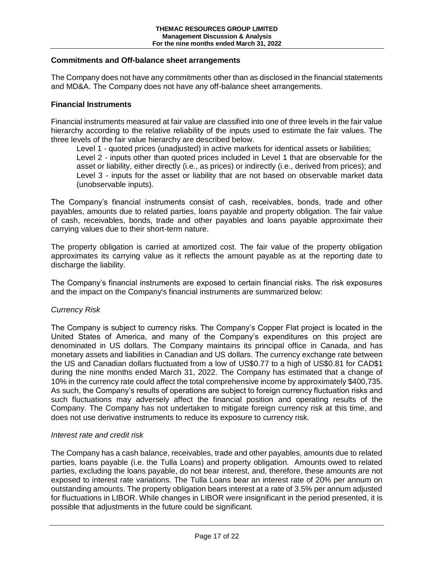#### **Commitments and Off-balance sheet arrangements**

The Company does not have any commitments other than as disclosed in the financial statements and MD&A. The Company does not have any off-balance sheet arrangements.

#### **Financial Instruments**

Financial instruments measured at fair value are classified into one of three levels in the fair value hierarchy according to the relative reliability of the inputs used to estimate the fair values. The three levels of the fair value hierarchy are described below.

Level 1 - quoted prices (unadjusted) in active markets for identical assets or liabilities; Level 2 - inputs other than quoted prices included in Level 1 that are observable for the asset or liability, either directly (i.e., as prices) or indirectly (i.e., derived from prices); and Level 3 - inputs for the asset or liability that are not based on observable market data (unobservable inputs).

The Company's financial instruments consist of cash, receivables, bonds, trade and other payables, amounts due to related parties, loans payable and property obligation. The fair value of cash, receivables, bonds, trade and other payables and loans payable approximate their carrying values due to their short-term nature.

The property obligation is carried at amortized cost. The fair value of the property obligation approximates its carrying value as it reflects the amount payable as at the reporting date to discharge the liability.

The Company's financial instruments are exposed to certain financial risks. The risk exposures and the impact on the Company's financial instruments are summarized below:

#### *Currency Risk*

The Company is subject to currency risks. The Company's Copper Flat project is located in the United States of America, and many of the Company's expenditures on this project are denominated in US dollars. The Company maintains its principal office in Canada, and has monetary assets and liabilities in Canadian and US dollars. The currency exchange rate between the US and Canadian dollars fluctuated from a low of US\$0.77 to a high of US\$0.81 for CAD\$1 during the nine months ended March 31, 2022. The Company has estimated that a change of 10% in the currency rate could affect the total comprehensive income by approximately \$400,735. As such, the Company's results of operations are subject to foreign currency fluctuation risks and such fluctuations may adversely affect the financial position and operating results of the Company. The Company has not undertaken to mitigate foreign currency risk at this time, and does not use derivative instruments to reduce its exposure to currency risk.

#### *Interest rate and credit risk*

The Company has a cash balance, receivables, trade and other payables, amounts due to related parties, loans payable (i.e. the Tulla Loans) and property obligation. Amounts owed to related parties, excluding the loans payable, do not bear interest, and, therefore, these amounts are not exposed to interest rate variations. The Tulla Loans bear an interest rate of 20% per annum on outstanding amounts. The property obligation bears interest at a rate of 3.5% per annum adjusted for fluctuations in LIBOR. While changes in LIBOR were insignificant in the period presented, it is possible that adjustments in the future could be significant.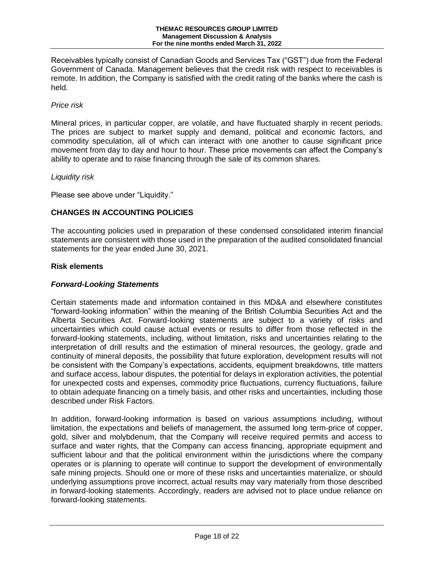Receivables typically consist of Canadian Goods and Services Tax ("GST") due from the Federal Government of Canada. Management believes that the credit risk with respect to receivables is remote. In addition, the Company is satisfied with the credit rating of the banks where the cash is held.

# *Price risk*

Mineral prices, in particular copper, are volatile, and have fluctuated sharply in recent periods. The prices are subject to market supply and demand, political and economic factors, and commodity speculation, all of which can interact with one another to cause significant price movement from day to day and hour to hour. These price movements can affect the Company's ability to operate and to raise financing through the sale of its common shares.

#### *Liquidity risk*

Please see above under "Liquidity."

# **CHANGES IN ACCOUNTING POLICIES**

The accounting policies used in preparation of these condensed consolidated interim financial statements are consistent with those used in the preparation of the audited consolidated financial statements for the year ended June 30, 2021.

#### **Risk elements**

# *Forward-Looking Statements*

Certain statements made and information contained in this MD&A and elsewhere constitutes "forward-looking information" within the meaning of the British Columbia Securities Act and the Alberta Securities Act. Forward-looking statements are subject to a variety of risks and uncertainties which could cause actual events or results to differ from those reflected in the forward-looking statements, including, without limitation, risks and uncertainties relating to the interpretation of drill results and the estimation of mineral resources, the geology, grade and continuity of mineral deposits, the possibility that future exploration, development results will not be consistent with the Company's expectations, accidents, equipment breakdowns, title matters and surface access, labour disputes, the potential for delays in exploration activities, the potential for unexpected costs and expenses, commodity price fluctuations, currency fluctuations, failure to obtain adequate financing on a timely basis, and other risks and uncertainties, including those described under Risk Factors.

In addition, forward-looking information is based on various assumptions including, without limitation, the expectations and beliefs of management, the assumed long term-price of copper, gold, silver and molybdenum, that the Company will receive required permits and access to surface and water rights, that the Company can access financing, appropriate equipment and sufficient labour and that the political environment within the jurisdictions where the company operates or is planning to operate will continue to support the development of environmentally safe mining projects. Should one or more of these risks and uncertainties materialize, or should underlying assumptions prove incorrect, actual results may vary materially from those described in forward-looking statements. Accordingly, readers are advised not to place undue reliance on forward-looking statements.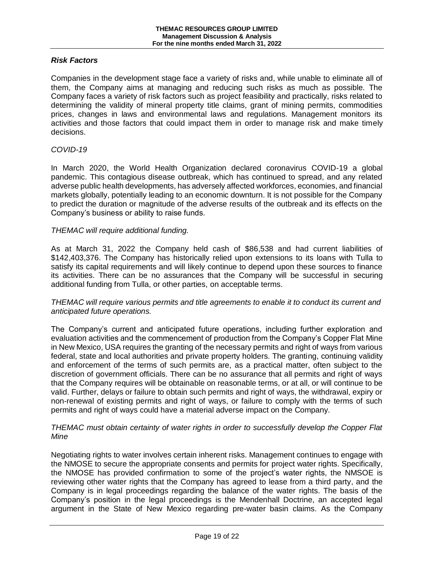# *Risk Factors*

Companies in the development stage face a variety of risks and, while unable to eliminate all of them, the Company aims at managing and reducing such risks as much as possible. The Company faces a variety of risk factors such as project feasibility and practically, risks related to determining the validity of mineral property title claims, grant of mining permits, commodities prices, changes in laws and environmental laws and regulations. Management monitors its activities and those factors that could impact them in order to manage risk and make timely decisions.

#### *COVID-19*

In March 2020, the World Health Organization declared coronavirus COVID-19 a global pandemic. This contagious disease outbreak, which has continued to spread, and any related adverse public health developments, has adversely affected workforces, economies, and financial markets globally, potentially leading to an economic downturn. It is not possible for the Company to predict the duration or magnitude of the adverse results of the outbreak and its effects on the Company's business or ability to raise funds.

#### *THEMAC will require additional funding.*

As at March 31, 2022 the Company held cash of \$86,538 and had current liabilities of \$142,403,376. The Company has historically relied upon extensions to its loans with Tulla to satisfy its capital requirements and will likely continue to depend upon these sources to finance its activities. There can be no assurances that the Company will be successful in securing additional funding from Tulla, or other parties, on acceptable terms.

#### *THEMAC will require various permits and title agreements to enable it to conduct its current and anticipated future operations.*

The Company's current and anticipated future operations, including further exploration and evaluation activities and the commencement of production from the Company's Copper Flat Mine in New Mexico, USA requires the granting of the necessary permits and right of ways from various federal, state and local authorities and private property holders. The granting, continuing validity and enforcement of the terms of such permits are, as a practical matter, often subject to the discretion of government officials. There can be no assurance that all permits and right of ways that the Company requires will be obtainable on reasonable terms, or at all, or will continue to be valid. Further, delays or failure to obtain such permits and right of ways, the withdrawal, expiry or non-renewal of existing permits and right of ways, or failure to comply with the terms of such permits and right of ways could have a material adverse impact on the Company.

#### *THEMAC must obtain certainty of water rights in order to successfully develop the Copper Flat Mine*

Negotiating rights to water involves certain inherent risks. Management continues to engage with the NMOSE to secure the appropriate consents and permits for project water rights. Specifically, the NMOSE has provided confirmation to some of the project's water rights, the NMSOE is reviewing other water rights that the Company has agreed to lease from a third party, and the Company is in legal proceedings regarding the balance of the water rights. The basis of the Company's position in the legal proceedings is the Mendenhall Doctrine, an accepted legal argument in the State of New Mexico regarding pre-water basin claims. As the Company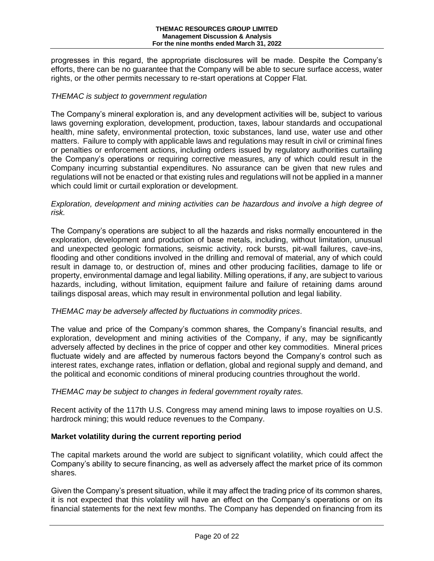progresses in this regard, the appropriate disclosures will be made. Despite the Company's efforts, there can be no guarantee that the Company will be able to secure surface access, water rights, or the other permits necessary to re-start operations at Copper Flat.

#### *THEMAC is subject to government regulation*

The Company's mineral exploration is, and any development activities will be, subject to various laws governing exploration, development, production, taxes, labour standards and occupational health, mine safety, environmental protection, toxic substances, land use, water use and other matters. Failure to comply with applicable laws and regulations may result in civil or criminal fines or penalties or enforcement actions, including orders issued by regulatory authorities curtailing the Company's operations or requiring corrective measures, any of which could result in the Company incurring substantial expenditures. No assurance can be given that new rules and regulations will not be enacted or that existing rules and regulations will not be applied in a manner which could limit or curtail exploration or development.

*Exploration, development and mining activities can be hazardous and involve a high degree of risk.*

The Company's operations are subject to all the hazards and risks normally encountered in the exploration, development and production of base metals, including, without limitation, unusual and unexpected geologic formations, seismic activity, rock bursts, pit-wall failures, cave-ins, flooding and other conditions involved in the drilling and removal of material, any of which could result in damage to, or destruction of, mines and other producing facilities, damage to life or property, environmental damage and legal liability. Milling operations, if any, are subject to various hazards, including, without limitation, equipment failure and failure of retaining dams around tailings disposal areas, which may result in environmental pollution and legal liability.

#### *THEMAC may be adversely affected by fluctuations in commodity prices.*

The value and price of the Company's common shares, the Company's financial results, and exploration, development and mining activities of the Company, if any, may be significantly adversely affected by declines in the price of copper and other key commodities. Mineral prices fluctuate widely and are affected by numerous factors beyond the Company's control such as interest rates, exchange rates, inflation or deflation, global and regional supply and demand, and the political and economic conditions of mineral producing countries throughout the world.

#### *THEMAC may be subject to changes in federal government royalty rates.*

Recent activity of the 117th U.S. Congress may amend mining laws to impose royalties on U.S. hardrock mining; this would reduce revenues to the Company.

#### **Market volatility during the current reporting period**

The capital markets around the world are subject to significant volatility, which could affect the Company's ability to secure financing, as well as adversely affect the market price of its common shares.

Given the Company's present situation, while it may affect the trading price of its common shares, it is not expected that this volatility will have an effect on the Company's operations or on its financial statements for the next few months. The Company has depended on financing from its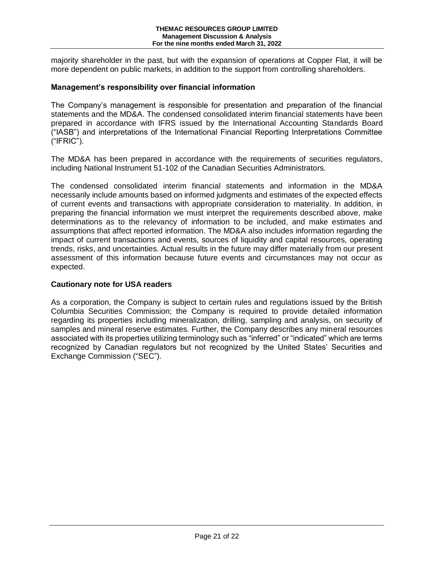majority shareholder in the past, but with the expansion of operations at Copper Flat, it will be more dependent on public markets, in addition to the support from controlling shareholders.

#### **Management's responsibility over financial information**

The Company's management is responsible for presentation and preparation of the financial statements and the MD&A. The condensed consolidated interim financial statements have been prepared in accordance with IFRS issued by the International Accounting Standards Board ("IASB") and interpretations of the International Financial Reporting Interpretations Committee ("IFRIC").

The MD&A has been prepared in accordance with the requirements of securities regulators, including National Instrument 51-102 of the Canadian Securities Administrators.

The condensed consolidated interim financial statements and information in the MD&A necessarily include amounts based on informed judgments and estimates of the expected effects of current events and transactions with appropriate consideration to materiality. In addition, in preparing the financial information we must interpret the requirements described above, make determinations as to the relevancy of information to be included, and make estimates and assumptions that affect reported information. The MD&A also includes information regarding the impact of current transactions and events, sources of liquidity and capital resources, operating trends, risks, and uncertainties. Actual results in the future may differ materially from our present assessment of this information because future events and circumstances may not occur as expected.

#### **Cautionary note for USA readers**

As a corporation, the Company is subject to certain rules and regulations issued by the British Columbia Securities Commission; the Company is required to provide detailed information regarding its properties including mineralization, drilling, sampling and analysis, on security of samples and mineral reserve estimates. Further, the Company describes any mineral resources associated with its properties utilizing terminology such as "inferred" or "indicated" which are terms recognized by Canadian regulators but not recognized by the United States' Securities and Exchange Commission ("SEC").